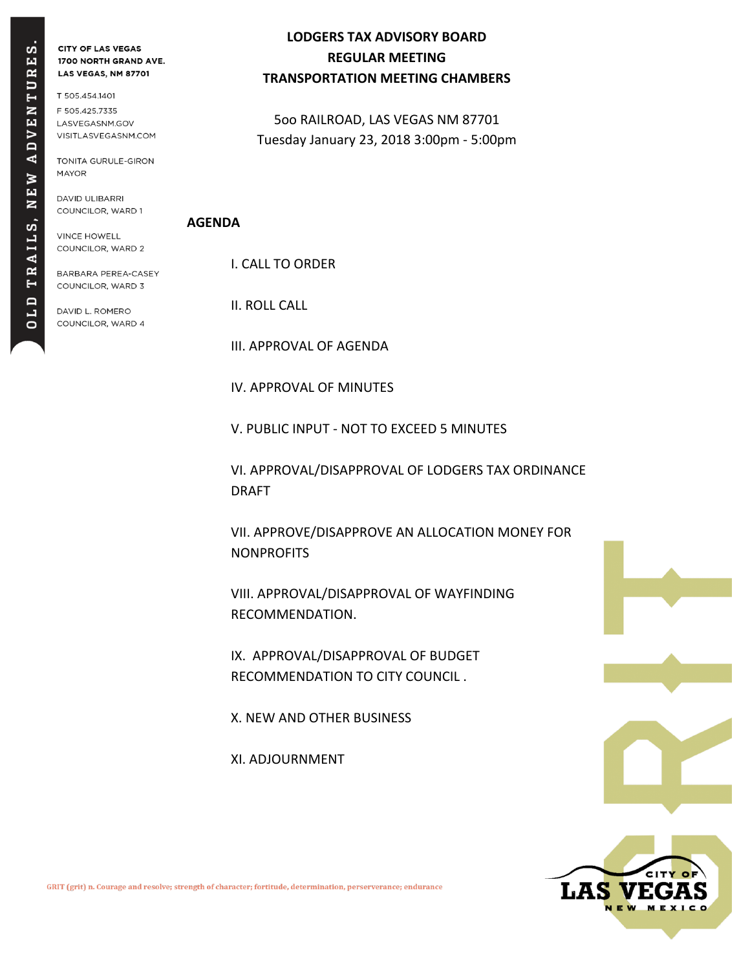# RES. TU **N 3**  $\triangleright$  $AD$  $\geq$ Ìщ  $\overline{\mathbf{z}}$ RAILS, OLD

**CITY OF LAS VEGAS** 1700 NORTH GRAND AVE. LAS VEGAS, NM 87701

T 505.454.1401 F 505.425.7335 LASVEGASNM.GOV VISITLASVEGASNM.COM

TONITA GURULE-GIRON **MAYOR** 

DAVID ULIBARRI COUNCILOR, WARD 1

**VINCE HOWELL** COUNCILOR, WARD 2

BARBARA PEREA-CASEY COUNCILOR, WARD 3

DAVID L. ROMERO COUNCILOR, WARD 4

### **LODGERS TAX ADVISORY BOARD REGULAR MEETING TRANSPORTATION MEETING CHAMBERS**

5oo RAILROAD, LAS VEGAS NM 87701 Tuesday January 23, 2018 3:00pm - 5:00pm

#### **AGENDA**

I. CALL TO ORDER

II. ROLL CALL

III. APPROVAL OF AGENDA

IV. APPROVAL OF MINUTES

V. PUBLIC INPUT - NOT TO EXCEED 5 MINUTES

VI. APPROVAL/DISAPPROVAL OF LODGERS TAX ORDINANCE DRAFT

VII. APPROVE/DISAPPROVE AN ALLOCATION MONEY FOR **NONPROFITS** 

VIII. APPROVAL/DISAPPROVAL OF WAYFINDING RECOMMENDATION.

IX. APPROVAL/DISAPPROVAL OF BUDGET RECOMMENDATION TO CITY COUNCIL .

X. NEW AND OTHER BUSINESS

XI. ADJOURNMENT



GRIT (grit) n. Courage and resolve; strength of character; fortitude, determination, perserverance; endurance